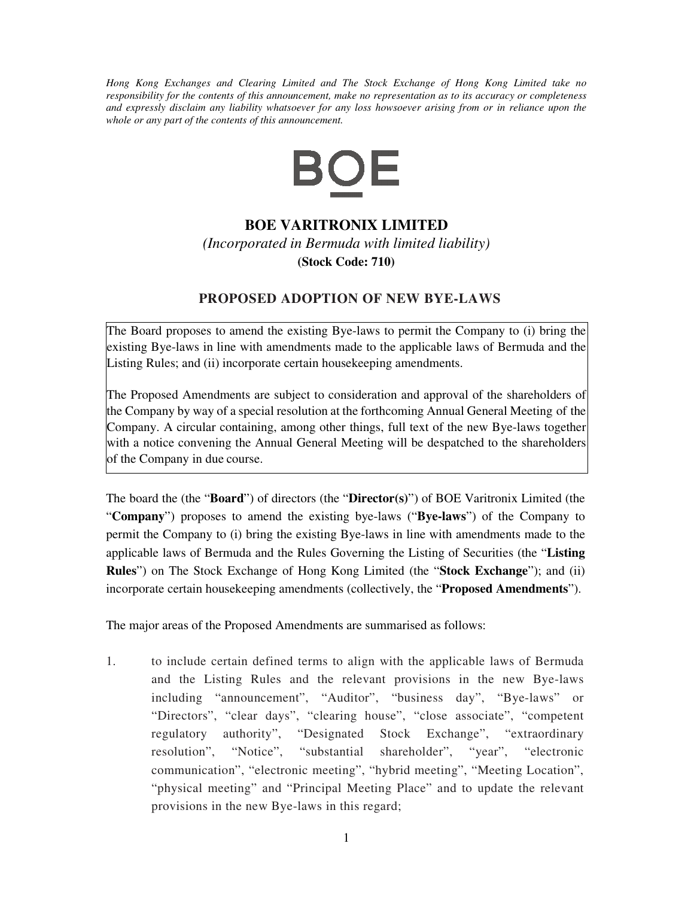*Hong Kong Exchanges and Clearing Limited and The Stock Exchange of Hong Kong Limited take no responsibility for the contents of this announcement, make no representation as to its accuracy or completeness and expressly disclaim any liability whatsoever for any loss howsoever arising from or in reliance upon the whole or any part of the contents of this announcement.* 



## **BOE VARITRONIX LIMITED**

*(Incorporated in Bermuda with limited liability)*  **(Stock Code: 710)**

## **PROPOSED ADOPTION OF NEW BYE-LAWS**

The Board proposes to amend the existing Bye-laws to permit the Company to (i) bring the existing Bye-laws in line with amendments made to the applicable laws of Bermuda and the Listing Rules; and (ii) incorporate certain housekeeping amendments.

The Proposed Amendments are subject to consideration and approval of the shareholders of the Company by way of a special resolution at the forthcoming Annual General Meeting of the Company. A circular containing, among other things, full text of the new Bye-laws together with a notice convening the Annual General Meeting will be despatched to the shareholders of the Company in due course.

The board the (the "**Board**") of directors (the "**Director(s)**") of BOE Varitronix Limited (the "**Company**") proposes to amend the existing bye-laws ("**Bye-laws**") of the Company to permit the Company to (i) bring the existing Bye-laws in line with amendments made to the applicable laws of Bermuda and the Rules Governing the Listing of Securities (the "**Listing Rules**") on The Stock Exchange of Hong Kong Limited (the "**Stock Exchange**"); and (ii) incorporate certain housekeeping amendments (collectively, the "**Proposed Amendments**").

The major areas of the Proposed Amendments are summarised as follows:

1. to include certain defined terms to align with the applicable laws of Bermuda and the Listing Rules and the relevant provisions in the new Bye-laws including "announcement", "Auditor", "business day", "Bye-laws" or "Directors", "clear days", "clearing house", "close associate", "competent regulatory authority", "Designated Stock Exchange", "extraordinary resolution", "Notice", "substantial shareholder", "year", "electronic communication", "electronic meeting", "hybrid meeting", "Meeting Location", "physical meeting" and "Principal Meeting Place" and to update the relevant provisions in the new Bye-laws in this regard;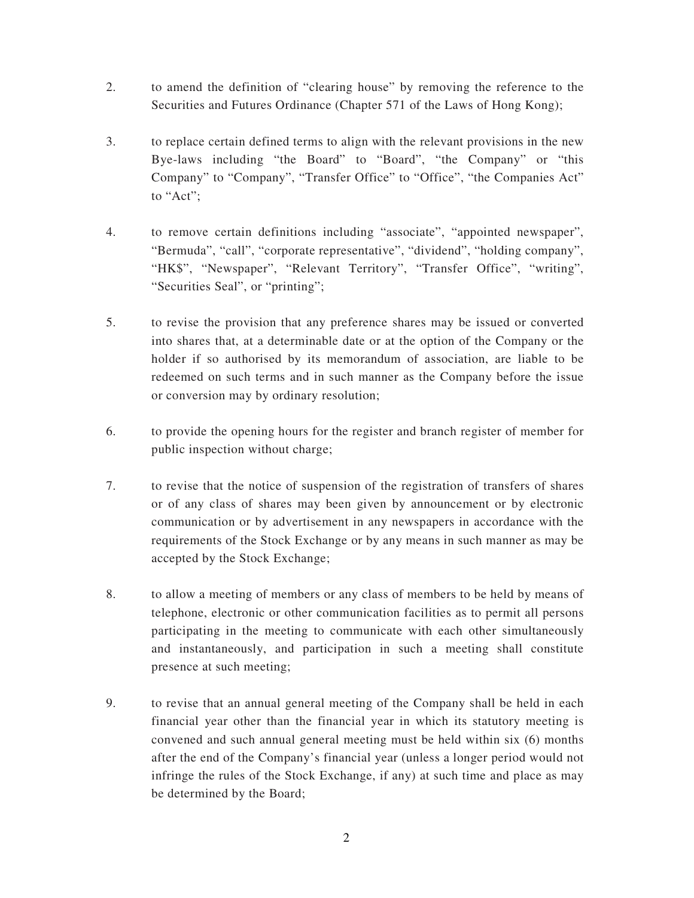- 2. to amend the definition of "clearing house" by removing the reference to the Securities and Futures Ordinance (Chapter 571 of the Laws of Hong Kong);
- 3. to replace certain defined terms to align with the relevant provisions in the new Bye-laws including "the Board" to "Board", "the Company" or "this Company" to "Company", "Transfer Office" to "Office", "the Companies Act" to "Act";
- 4. to remove certain definitions including "associate", "appointed newspaper", "Bermuda", "call", "corporate representative", "dividend", "holding company", "HK\$", "Newspaper", "Relevant Territory", "Transfer Office", "writing", "Securities Seal", or "printing";
- 5. to revise the provision that any preference shares may be issued or converted into shares that, at a determinable date or at the option of the Company or the holder if so authorised by its memorandum of association, are liable to be redeemed on such terms and in such manner as the Company before the issue or conversion may by ordinary resolution;
- 6. to provide the opening hours for the register and branch register of member for public inspection without charge;
- 7. to revise that the notice of suspension of the registration of transfers of shares or of any class of shares may been given by announcement or by electronic communication or by advertisement in any newspapers in accordance with the requirements of the Stock Exchange or by any means in such manner as may be accepted by the Stock Exchange;
- 8. to allow a meeting of members or any class of members to be held by means of telephone, electronic or other communication facilities as to permit all persons participating in the meeting to communicate with each other simultaneously and instantaneously, and participation in such a meeting shall constitute presence at such meeting;
- 9. to revise that an annual general meeting of the Company shall be held in each financial year other than the financial year in which its statutory meeting is convened and such annual general meeting must be held within six (6) months after the end of the Company's financial year (unless a longer period would not infringe the rules of the Stock Exchange, if any) at such time and place as may be determined by the Board;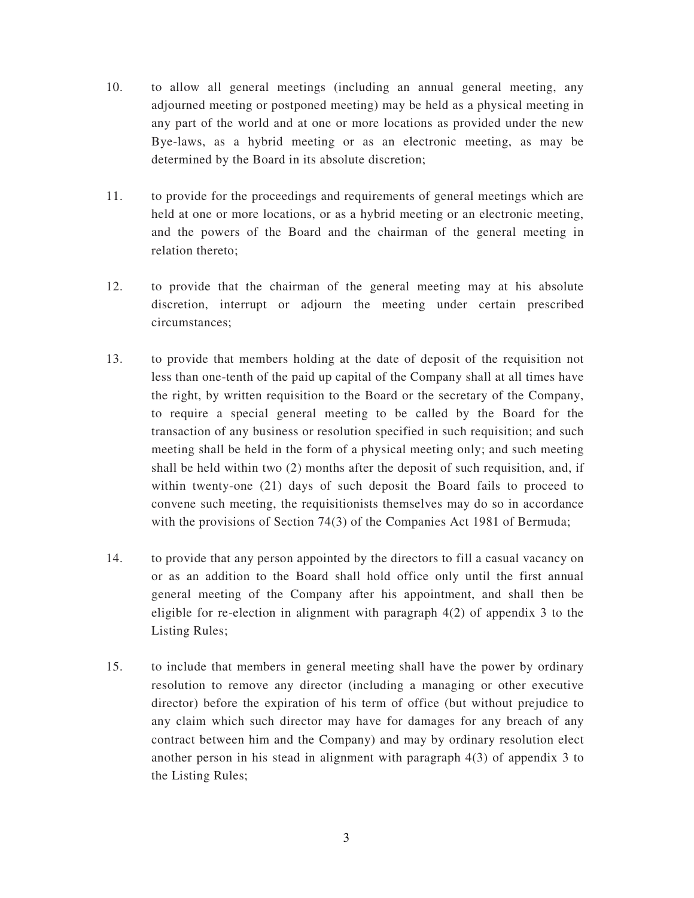- 10. to allow all general meetings (including an annual general meeting, any adjourned meeting or postponed meeting) may be held as a physical meeting in any part of the world and at one or more locations as provided under the new Bye-laws, as a hybrid meeting or as an electronic meeting, as may be determined by the Board in its absolute discretion;
- 11. to provide for the proceedings and requirements of general meetings which are held at one or more locations, or as a hybrid meeting or an electronic meeting, and the powers of the Board and the chairman of the general meeting in relation thereto;
- 12. to provide that the chairman of the general meeting may at his absolute discretion, interrupt or adjourn the meeting under certain prescribed circumstances;
- 13. to provide that members holding at the date of deposit of the requisition not less than one-tenth of the paid up capital of the Company shall at all times have the right, by written requisition to the Board or the secretary of the Company, to require a special general meeting to be called by the Board for the transaction of any business or resolution specified in such requisition; and such meeting shall be held in the form of a physical meeting only; and such meeting shall be held within two (2) months after the deposit of such requisition, and, if within twenty-one (21) days of such deposit the Board fails to proceed to convene such meeting, the requisitionists themselves may do so in accordance with the provisions of Section 74(3) of the Companies Act 1981 of Bermuda;
- 14. to provide that any person appointed by the directors to fill a casual vacancy on or as an addition to the Board shall hold office only until the first annual general meeting of the Company after his appointment, and shall then be eligible for re-election in alignment with paragraph 4(2) of appendix 3 to the Listing Rules;
- 15. to include that members in general meeting shall have the power by ordinary resolution to remove any director (including a managing or other executive director) before the expiration of his term of office (but without prejudice to any claim which such director may have for damages for any breach of any contract between him and the Company) and may by ordinary resolution elect another person in his stead in alignment with paragraph 4(3) of appendix 3 to the Listing Rules;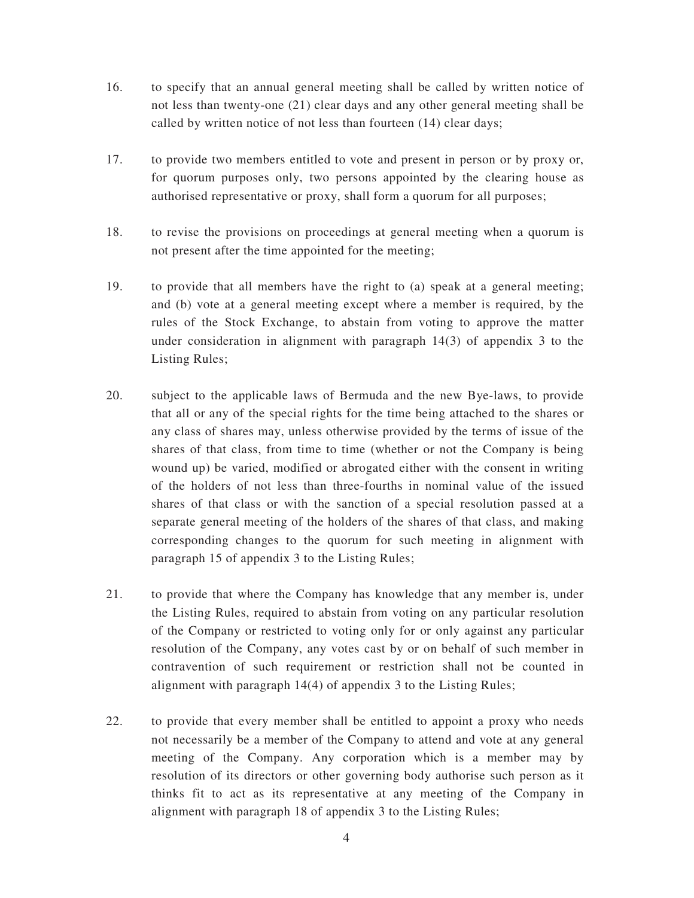- 16. to specify that an annual general meeting shall be called by written notice of not less than twenty-one (21) clear days and any other general meeting shall be called by written notice of not less than fourteen (14) clear days;
- 17. to provide two members entitled to vote and present in person or by proxy or, for quorum purposes only, two persons appointed by the clearing house as authorised representative or proxy, shall form a quorum for all purposes;
- 18. to revise the provisions on proceedings at general meeting when a quorum is not present after the time appointed for the meeting;
- 19. to provide that all members have the right to (a) speak at a general meeting; and (b) vote at a general meeting except where a member is required, by the rules of the Stock Exchange, to abstain from voting to approve the matter under consideration in alignment with paragraph 14(3) of appendix 3 to the Listing Rules;
- 20. subject to the applicable laws of Bermuda and the new Bye-laws, to provide that all or any of the special rights for the time being attached to the shares or any class of shares may, unless otherwise provided by the terms of issue of the shares of that class, from time to time (whether or not the Company is being wound up) be varied, modified or abrogated either with the consent in writing of the holders of not less than three-fourths in nominal value of the issued shares of that class or with the sanction of a special resolution passed at a separate general meeting of the holders of the shares of that class, and making corresponding changes to the quorum for such meeting in alignment with paragraph 15 of appendix 3 to the Listing Rules;
- 21. to provide that where the Company has knowledge that any member is, under the Listing Rules, required to abstain from voting on any particular resolution of the Company or restricted to voting only for or only against any particular resolution of the Company, any votes cast by or on behalf of such member in contravention of such requirement or restriction shall not be counted in alignment with paragraph 14(4) of appendix 3 to the Listing Rules;
- 22. to provide that every member shall be entitled to appoint a proxy who needs not necessarily be a member of the Company to attend and vote at any general meeting of the Company. Any corporation which is a member may by resolution of its directors or other governing body authorise such person as it thinks fit to act as its representative at any meeting of the Company in alignment with paragraph 18 of appendix 3 to the Listing Rules;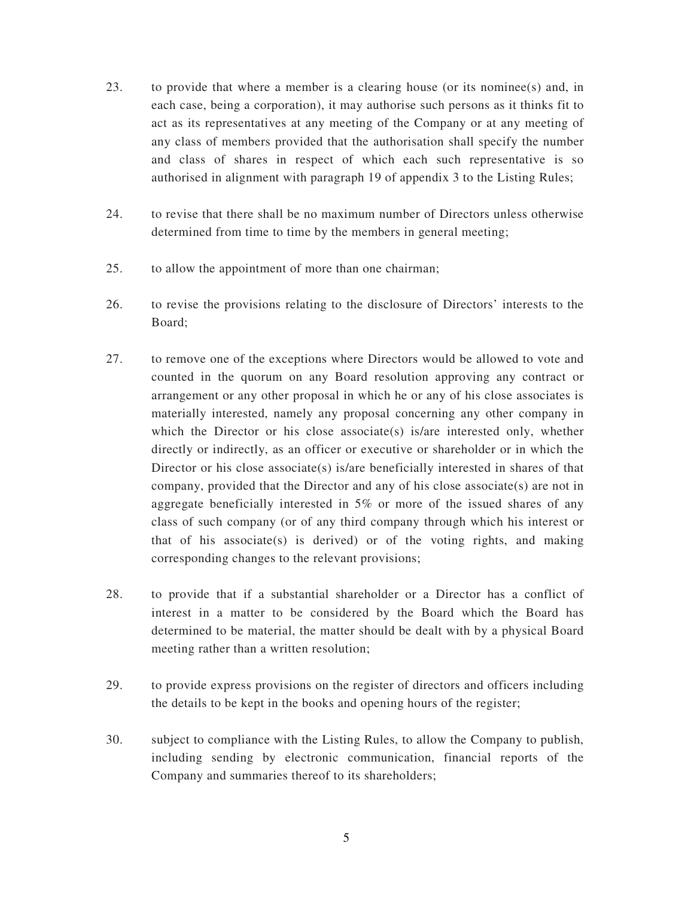- 23. to provide that where a member is a clearing house (or its nominee(s) and, in each case, being a corporation), it may authorise such persons as it thinks fit to act as its representatives at any meeting of the Company or at any meeting of any class of members provided that the authorisation shall specify the number and class of shares in respect of which each such representative is so authorised in alignment with paragraph 19 of appendix 3 to the Listing Rules;
- 24. to revise that there shall be no maximum number of Directors unless otherwise determined from time to time by the members in general meeting;
- 25. to allow the appointment of more than one chairman;
- 26. to revise the provisions relating to the disclosure of Directors' interests to the Board;
- 27. to remove one of the exceptions where Directors would be allowed to vote and counted in the quorum on any Board resolution approving any contract or arrangement or any other proposal in which he or any of his close associates is materially interested, namely any proposal concerning any other company in which the Director or his close associate(s) is/are interested only, whether directly or indirectly, as an officer or executive or shareholder or in which the Director or his close associate(s) is/are beneficially interested in shares of that company, provided that the Director and any of his close associate(s) are not in aggregate beneficially interested in 5% or more of the issued shares of any class of such company (or of any third company through which his interest or that of his associate $(s)$  is derived) or of the voting rights, and making corresponding changes to the relevant provisions;
- 28. to provide that if a substantial shareholder or a Director has a conflict of interest in a matter to be considered by the Board which the Board has determined to be material, the matter should be dealt with by a physical Board meeting rather than a written resolution;
- 29. to provide express provisions on the register of directors and officers including the details to be kept in the books and opening hours of the register;
- 30. subject to compliance with the Listing Rules, to allow the Company to publish, including sending by electronic communication, financial reports of the Company and summaries thereof to its shareholders;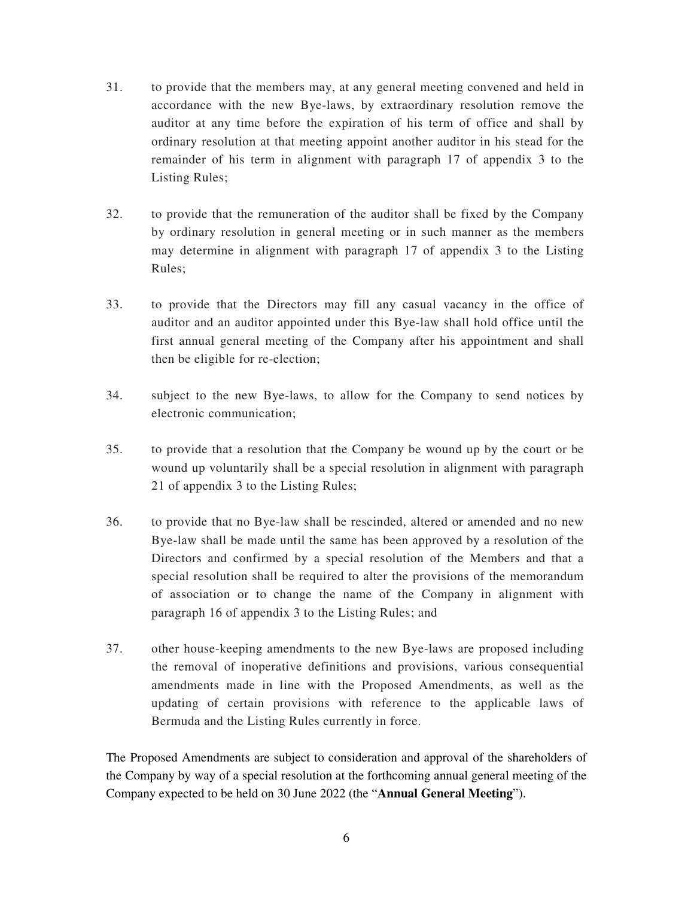- 31. to provide that the members may, at any general meeting convened and held in accordance with the new Bye-laws, by extraordinary resolution remove the auditor at any time before the expiration of his term of office and shall by ordinary resolution at that meeting appoint another auditor in his stead for the remainder of his term in alignment with paragraph 17 of appendix 3 to the Listing Rules;
- 32. to provide that the remuneration of the auditor shall be fixed by the Company by ordinary resolution in general meeting or in such manner as the members may determine in alignment with paragraph 17 of appendix 3 to the Listing Rules;
- 33. to provide that the Directors may fill any casual vacancy in the office of auditor and an auditor appointed under this Bye-law shall hold office until the first annual general meeting of the Company after his appointment and shall then be eligible for re-election;
- 34. subject to the new Bye-laws, to allow for the Company to send notices by electronic communication;
- 35. to provide that a resolution that the Company be wound up by the court or be wound up voluntarily shall be a special resolution in alignment with paragraph 21 of appendix 3 to the Listing Rules;
- 36. to provide that no Bye-law shall be rescinded, altered or amended and no new Bye-law shall be made until the same has been approved by a resolution of the Directors and confirmed by a special resolution of the Members and that a special resolution shall be required to alter the provisions of the memorandum of association or to change the name of the Company in alignment with paragraph 16 of appendix 3 to the Listing Rules; and
- 37. other house-keeping amendments to the new Bye-laws are proposed including the removal of inoperative definitions and provisions, various consequential amendments made in line with the Proposed Amendments, as well as the updating of certain provisions with reference to the applicable laws of Bermuda and the Listing Rules currently in force.

The Proposed Amendments are subject to consideration and approval of the shareholders of the Company by way of a special resolution at the forthcoming annual general meeting of the Company expected to be held on 30 June 2022 (the "**Annual General Meeting**").